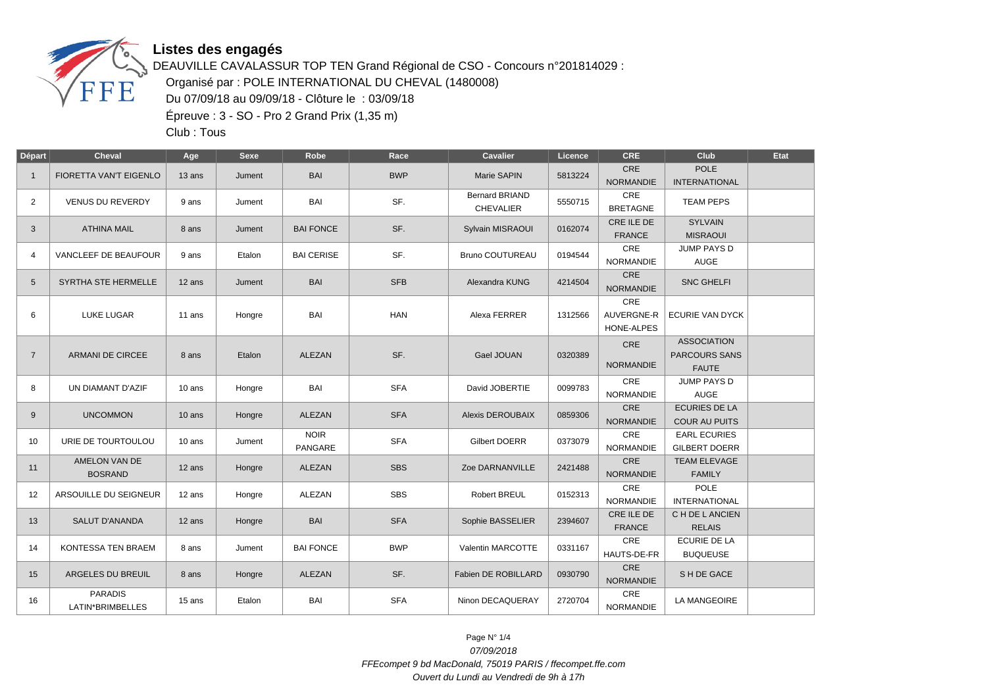

## **Listes des engagés**

DEAUVILLE CAVALASSUR TOP TEN Grand Régional de CSO - Concours n°201814029 : Organisé par : POLE INTERNATIONAL DU CHEVAL (1480008) Du 07/09/18 au 09/09/18 - Clôture le : 03/09/18 Épreuve : 3 - SO - Pro 2 Grand Prix (1,35 m)

Club : Tous

| Départ         | <b>Cheval</b>                      | Age      | Sexe   | Robe                          | Race       | <b>Cavalier</b>                           | Licence | <b>CRE</b>                             | Club                                                       | Etat |
|----------------|------------------------------------|----------|--------|-------------------------------|------------|-------------------------------------------|---------|----------------------------------------|------------------------------------------------------------|------|
| $\mathbf{1}$   | FIORETTA VAN'T EIGENLO             | 13 ans   | Jument | <b>BAI</b>                    | <b>BWP</b> | Marie SAPIN                               | 5813224 | CRE<br><b>NORMANDIE</b>                | <b>POLE</b><br><b>INTERNATIONAL</b>                        |      |
| $\overline{2}$ | <b>VENUS DU REVERDY</b>            | 9 ans    | Jument | BAI                           | SF.        | <b>Bernard BRIAND</b><br><b>CHEVALIER</b> | 5550715 | CRE<br><b>BRETAGNE</b>                 | <b>TEAM PEPS</b>                                           |      |
| 3              | <b>ATHINA MAIL</b>                 | 8 ans    | Jument | <b>BAI FONCE</b>              | SF.        | Sylvain MISRAOUI                          | 0162074 | CRE ILE DE<br><b>FRANCE</b>            | <b>SYLVAIN</b><br><b>MISRAOUI</b>                          |      |
| 4              | VANCLEEF DE BEAUFOUR               | 9 ans    | Etalon | <b>BAI CERISE</b>             | SF.        | <b>Bruno COUTUREAU</b>                    | 0194544 | CRE<br><b>NORMANDIE</b>                | <b>JUMP PAYS D</b><br>AUGE                                 |      |
| 5              | SYRTHA STE HERMELLE                | 12 ans   | Jument | <b>BAI</b>                    | <b>SFB</b> | Alexandra KUNG                            | 4214504 | <b>CRE</b><br><b>NORMANDIE</b>         | <b>SNC GHELFI</b>                                          |      |
| 6              | <b>LUKE LUGAR</b>                  | 11 ans   | Hongre | BAI                           | <b>HAN</b> | Alexa FERRER                              | 1312566 | <b>CRE</b><br>AUVERGNE-R<br>HONE-ALPES | <b>ECURIE VAN DYCK</b>                                     |      |
| $\overline{7}$ | <b>ARMANI DE CIRCEE</b>            | 8 ans    | Etalon | <b>ALEZAN</b>                 | SF.        | Gael JOUAN                                | 0320389 | <b>CRE</b><br><b>NORMANDIE</b>         | <b>ASSOCIATION</b><br><b>PARCOURS SANS</b><br><b>FAUTE</b> |      |
| 8              | UN DIAMANT D'AZIF                  | 10 ans   | Hongre | BAI                           | <b>SFA</b> | David JOBERTIE                            | 0099783 | <b>CRE</b><br><b>NORMANDIE</b>         | JUMP PAYS D<br>AUGE                                        |      |
| 9              | <b>UNCOMMON</b>                    | $10$ ans | Hongre | ALEZAN                        | <b>SFA</b> | Alexis DEROUBAIX                          | 0859306 | CRE<br><b>NORMANDIE</b>                | <b>ECURIES DE LA</b><br><b>COUR AU PUITS</b>               |      |
| 10             | URIE DE TOURTOULOU                 | 10 ans   | Jument | <b>NOIR</b><br><b>PANGARE</b> | <b>SFA</b> | <b>Gilbert DOERR</b>                      | 0373079 | CRE<br><b>NORMANDIE</b>                | <b>EARL ECURIES</b><br><b>GILBERT DOERR</b>                |      |
| 11             | AMELON VAN DE<br><b>BOSRAND</b>    | 12 ans   | Hongre | ALEZAN                        | <b>SBS</b> | Zoe DARNANVILLE                           | 2421488 | CRE<br><b>NORMANDIE</b>                | <b>TEAM ELEVAGE</b><br><b>FAMILY</b>                       |      |
| 12             | ARSOUILLE DU SEIGNEUR              | 12 ans   | Hongre | ALEZAN                        | <b>SBS</b> | Robert BREUL                              | 0152313 | CRE<br><b>NORMANDIE</b>                | <b>POLE</b><br><b>INTERNATIONAL</b>                        |      |
| 13             | <b>SALUT D'ANANDA</b>              | 12 ans   | Hongre | <b>BAI</b>                    | <b>SFA</b> | Sophie BASSELIER                          | 2394607 | CRE ILE DE<br><b>FRANCE</b>            | C H DE L ANCIEN<br><b>RELAIS</b>                           |      |
| 14             | <b>KONTESSA TEN BRAEM</b>          | 8 ans    | Jument | <b>BAI FONCE</b>              | <b>BWP</b> | Valentin MARCOTTE                         | 0331167 | CRE<br>HAUTS-DE-FR                     | <b>ECURIE DE LA</b><br><b>BUQUEUSE</b>                     |      |
| 15             | ARGELES DU BREUIL                  | 8 ans    | Hongre | <b>ALEZAN</b>                 | SF.        | Fabien DE ROBILLARD                       | 0930790 | CRE<br><b>NORMANDIE</b>                | SH DE GACE                                                 |      |
| 16             | <b>PARADIS</b><br>LATIN*BRIMBELLES | 15 ans   | Etalon | BAI                           | <b>SFA</b> | Ninon DECAQUERAY                          | 2720704 | <b>CRE</b><br><b>NORMANDIE</b>         | <b>LA MANGEOIRE</b>                                        |      |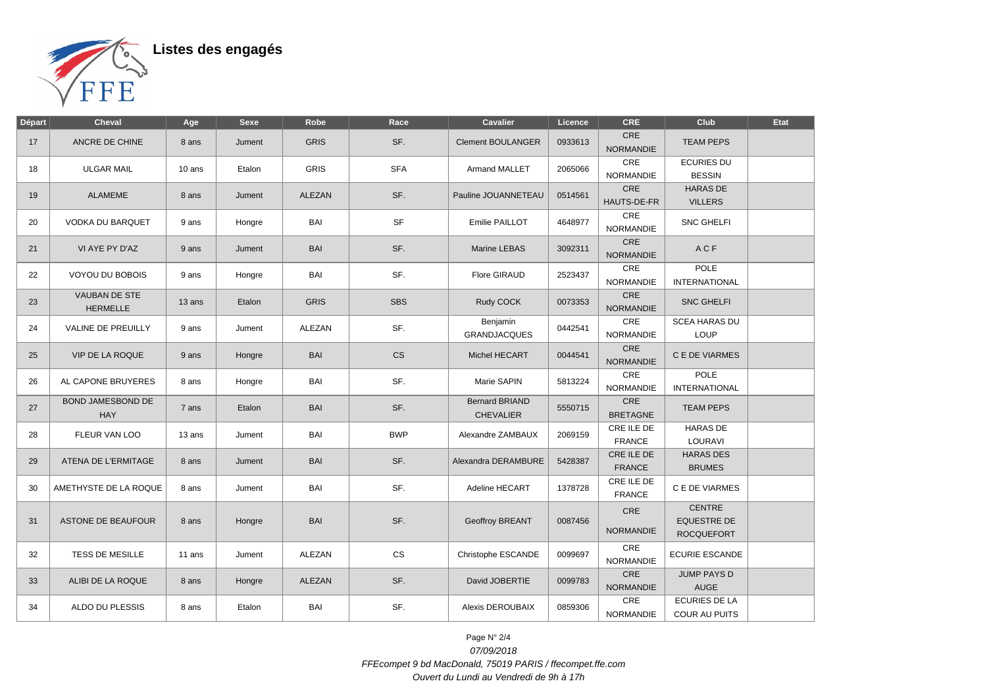

| <b>Départ</b> | <b>Cheval</b>                           | Age    | <b>Sexe</b> | Robe          | Race       | <b>Cavalier</b>                           | Licence | <b>CRE</b>                     | Club                                                     | Etat |
|---------------|-----------------------------------------|--------|-------------|---------------|------------|-------------------------------------------|---------|--------------------------------|----------------------------------------------------------|------|
| 17            | ANCRE DE CHINE                          | 8 ans  | Jument      | <b>GRIS</b>   | SF.        | <b>Clement BOULANGER</b>                  | 0933613 | <b>CRE</b><br><b>NORMANDIE</b> | <b>TEAM PEPS</b>                                         |      |
| 18            | <b>ULGAR MAIL</b>                       | 10 ans | Etalon      | <b>GRIS</b>   | <b>SFA</b> | Armand MALLET                             | 2065066 | CRE<br><b>NORMANDIE</b>        | <b>ECURIES DU</b><br><b>BESSIN</b>                       |      |
| 19            | <b>ALAMEME</b>                          | 8 ans  | Jument      | <b>ALEZAN</b> | SF.        | Pauline JOUANNETEAU                       | 0514561 | CRE<br>HAUTS-DE-FR             | <b>HARAS DE</b><br><b>VILLERS</b>                        |      |
| 20            | <b>VODKA DU BARQUET</b>                 | 9 ans  | Hongre      | BAI           | <b>SF</b>  | Emilie PAILLOT                            | 4648977 | CRE<br><b>NORMANDIE</b>        | <b>SNC GHELFI</b>                                        |      |
| 21            | VI AYE PY D'AZ                          | 9 ans  | Jument      | <b>BAI</b>    | SF.        | Marine LEBAS                              | 3092311 | CRE<br><b>NORMANDIE</b>        | ACF                                                      |      |
| 22            | VOYOU DU BOBOIS                         | 9 ans  | Hongre      | BAI           | SF.        | <b>Flore GIRAUD</b>                       | 2523437 | CRE<br><b>NORMANDIE</b>        | POLE<br><b>INTERNATIONAL</b>                             |      |
| 23            | <b>VAUBAN DE STE</b><br><b>HERMELLE</b> | 13 ans | Etalon      | <b>GRIS</b>   | <b>SBS</b> | Rudy COCK                                 | 0073353 | CRE<br><b>NORMANDIE</b>        | SNC GHELFI                                               |      |
| 24            | <b>VALINE DE PREUILLY</b>               | 9 ans  | Jument      | <b>ALEZAN</b> | SF.        | Benjamin<br><b>GRANDJACQUES</b>           | 0442541 | CRE<br><b>NORMANDIE</b>        | <b>SCEA HARAS DU</b><br>LOUP                             |      |
| 25            | <b>VIP DE LA ROQUE</b>                  | 9 ans  | Hongre      | <b>BAI</b>    | <b>CS</b>  | Michel HECART                             | 0044541 | CRE<br><b>NORMANDIE</b>        | C E DE VIARMES                                           |      |
| 26            | AL CAPONE BRUYERES                      | 8 ans  | Hongre      | BAI           | SF.        | Marie SAPIN                               | 5813224 | CRE<br><b>NORMANDIE</b>        | <b>POLE</b><br><b>INTERNATIONAL</b>                      |      |
| 27            | BOND JAMESBOND DE<br><b>HAY</b>         | 7 ans  | Etalon      | <b>BAI</b>    | SF.        | <b>Bernard BRIAND</b><br><b>CHEVALIER</b> | 5550715 | CRE<br><b>BRETAGNE</b>         | <b>TEAM PEPS</b>                                         |      |
| 28            | FLEUR VAN LOO                           | 13 ans | Jument      | <b>BAI</b>    | <b>BWP</b> | Alexandre ZAMBAUX                         | 2069159 | CRE ILE DE<br><b>FRANCE</b>    | <b>HARAS DE</b><br>LOURAVI                               |      |
| 29            | ATENA DE L'ERMITAGE                     | 8 ans  | Jument      | <b>BAI</b>    | SF.        | Alexandra DERAMBURE                       | 5428387 | CRE ILE DE<br><b>FRANCE</b>    | <b>HARAS DES</b><br><b>BRUMES</b>                        |      |
| 30            | AMETHYSTE DE LA ROQUE                   | 8 ans  | Jument      | <b>BAI</b>    | SF.        | Adeline HECART                            | 1378728 | CRE ILE DE<br><b>FRANCE</b>    | C E DE VIARMES                                           |      |
| 31            | <b>ASTONE DE BEAUFOUR</b>               | 8 ans  | Hongre      | <b>BAI</b>    | SF.        | <b>Geoffroy BREANT</b>                    | 0087456 | CRE<br><b>NORMANDIE</b>        | <b>CENTRE</b><br><b>EQUESTRE DE</b><br><b>ROCQUEFORT</b> |      |
| 32            | <b>TESS DE MESILLE</b>                  | 11 ans | Jument      | ALEZAN        | <b>CS</b>  | Christophe ESCANDE                        | 0099697 | CRE<br><b>NORMANDIE</b>        | <b>ECURIE ESCANDE</b>                                    |      |
| 33            | ALIBI DE LA ROQUE                       | 8 ans  | Hongre      | ALEZAN        | SF.        | David JOBERTIE                            | 0099783 | CRE<br><b>NORMANDIE</b>        | <b>JUMP PAYS D</b><br><b>AUGE</b>                        |      |
| 34            | ALDO DU PLESSIS                         | 8 ans  | Etalon      | BAI           | SF.        | Alexis DEROUBAIX                          | 0859306 | CRE<br>NORMANDIE               | <b>ECURIES DE LA</b><br>COUR AU PUITS                    |      |

Page N° 2/4 07/09/2018 FFEcompet 9 bd MacDonald, 75019 PARIS / ffecompet.ffe.com Ouvert du Lundi au Vendredi de 9h à 17h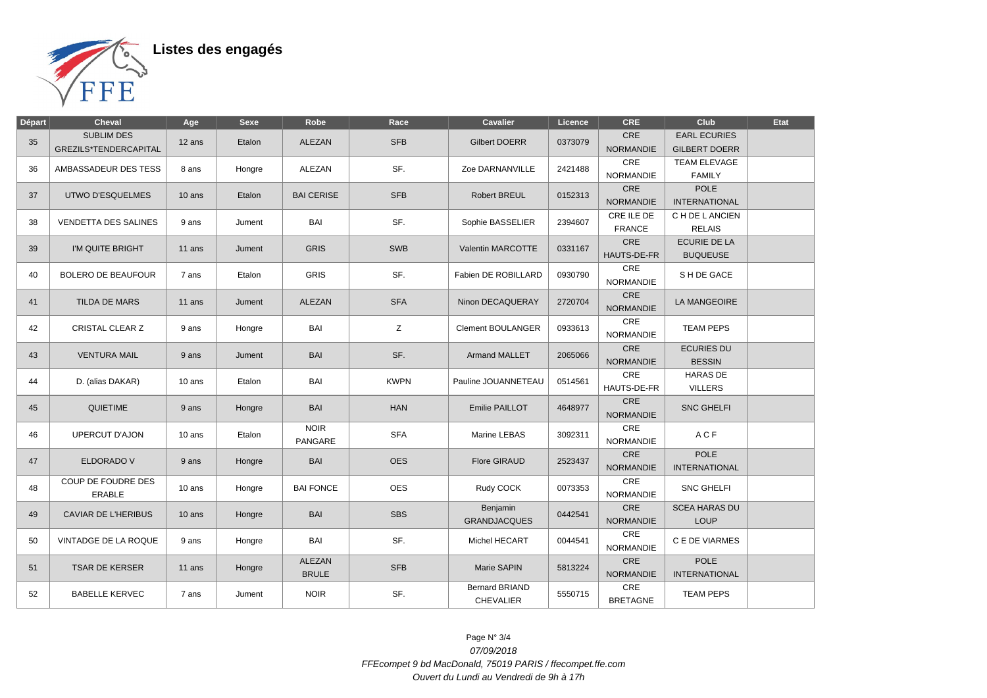

Listes des engagés

| Départ | <b>Cheval</b>                              | Age      | <b>Sexe</b> | Robe                          | Race        | <b>Cavalier</b>                           | Licence | <b>CRE</b>                     | Club                                        | Etat |
|--------|--------------------------------------------|----------|-------------|-------------------------------|-------------|-------------------------------------------|---------|--------------------------------|---------------------------------------------|------|
| 35     | <b>SUBLIM DES</b><br>GREZILS*TENDERCAPITAL | 12 ans   | Etalon      | <b>ALEZAN</b>                 | <b>SFB</b>  | <b>Gilbert DOERR</b>                      | 0373079 | CRE<br><b>NORMANDIE</b>        | <b>EARL ECURIES</b><br><b>GILBERT DOERR</b> |      |
| 36     | AMBASSADEUR DES TESS                       | 8 ans    | Hongre      | ALEZAN                        | SF.         | Zoe DARNANVILLE                           | 2421488 | CRE<br><b>NORMANDIE</b>        | TEAM ELEVAGE<br><b>FAMILY</b>               |      |
| 37     | UTWO D'ESQUELMES                           | $10$ ans | Etalon      | <b>BAI CERISE</b>             | <b>SFB</b>  | <b>Robert BREUL</b>                       | 0152313 | <b>CRE</b><br><b>NORMANDIE</b> | <b>POLE</b><br><b>INTERNATIONAL</b>         |      |
| 38     | <b>VENDETTA DES SALINES</b>                | 9 ans    | Jument      | BAI                           | SF.         | Sophie BASSELIER                          | 2394607 | CRE ILE DE<br><b>FRANCE</b>    | C H DE L ANCIEN<br><b>RELAIS</b>            |      |
| 39     | I'M QUITE BRIGHT                           | 11 ans   | Jument      | <b>GRIS</b>                   | SWB         | Valentin MARCOTTE                         | 0331167 | CRE<br>HAUTS-DE-FR             | <b>ECURIE DE LA</b><br><b>BUQUEUSE</b>      |      |
| 40     | <b>BOLERO DE BEAUFOUR</b>                  | 7 ans    | Etalon      | <b>GRIS</b>                   | SF.         | Fabien DE ROBILLARD                       | 0930790 | <b>CRE</b><br><b>NORMANDIE</b> | S H DE GACE                                 |      |
| 41     | <b>TILDA DE MARS</b>                       | 11 ans   | Jument      | <b>ALEZAN</b>                 | <b>SFA</b>  | Ninon DECAQUERAY                          | 2720704 | CRE<br><b>NORMANDIE</b>        | LA MANGEOIRE                                |      |
| 42     | <b>CRISTAL CLEAR Z</b>                     | 9 ans    | Hongre      | BAI                           | Z           | <b>Clement BOULANGER</b>                  | 0933613 | CRE<br><b>NORMANDIE</b>        | <b>TEAM PEPS</b>                            |      |
| 43     | <b>VENTURA MAIL</b>                        | 9 ans    | Jument      | <b>BAI</b>                    | SF.         | <b>Armand MALLET</b>                      | 2065066 | <b>CRE</b><br><b>NORMANDIE</b> | <b>ECURIES DU</b><br><b>BESSIN</b>          |      |
| 44     | D. (alias DAKAR)                           | 10 ans   | Etalon      | BAI                           | <b>KWPN</b> | Pauline JOUANNETEAU                       | 0514561 | CRE<br>HAUTS-DE-FR             | <b>HARAS DE</b><br><b>VILLERS</b>           |      |
| 45     | QUIETIME                                   | 9 ans    | Hongre      | <b>BAI</b>                    | <b>HAN</b>  | <b>Emilie PAILLOT</b>                     | 4648977 | CRE<br><b>NORMANDIE</b>        | <b>SNC GHELFI</b>                           |      |
| 46     | <b>UPERCUT D'AJON</b>                      | 10 ans   | Etalon      | <b>NOIR</b><br>PANGARE        | <b>SFA</b>  | Marine LEBAS                              | 3092311 | CRE<br><b>NORMANDIE</b>        | ACF                                         |      |
| 47     | ELDORADO V                                 | 9 ans    | Hongre      | <b>BAI</b>                    | <b>OES</b>  | <b>Flore GIRAUD</b>                       | 2523437 | CRE<br><b>NORMANDIE</b>        | <b>POLE</b><br><b>INTERNATIONAL</b>         |      |
| 48     | COUP DE FOUDRE DES<br><b>ERABLE</b>        | 10 ans   | Hongre      | <b>BAI FONCE</b>              | <b>OES</b>  | Rudy COCK                                 | 0073353 | CRE<br><b>NORMANDIE</b>        | <b>SNC GHELFI</b>                           |      |
| 49     | <b>CAVIAR DE L'HERIBUS</b>                 | 10 ans   | Hongre      | <b>BAI</b>                    | <b>SBS</b>  | Benjamin<br><b>GRANDJACQUES</b>           | 0442541 | <b>CRE</b><br><b>NORMANDIE</b> | <b>SCEA HARAS DU</b><br><b>LOUP</b>         |      |
| 50     | VINTADGE DE LA ROQUE                       | 9 ans    | Hongre      | BAI                           | SF.         | Michel HECART                             | 0044541 | CRE<br><b>NORMANDIE</b>        | C E DE VIARMES                              |      |
| 51     | <b>TSAR DE KERSER</b>                      | 11 ans   | Hongre      | <b>ALEZAN</b><br><b>BRULE</b> | <b>SFB</b>  | Marie SAPIN                               | 5813224 | CRE<br><b>NORMANDIE</b>        | <b>POLE</b><br><b>INTERNATIONAL</b>         |      |
| 52     | <b>BABELLE KERVEC</b>                      | 7 ans    | Jument      | <b>NOIR</b>                   | SF.         | <b>Bernard BRIAND</b><br><b>CHEVALIER</b> | 5550715 | CRE<br><b>BRETAGNE</b>         | <b>TEAM PEPS</b>                            |      |

Page N° 3/4 07/09/2018 FFEcompet 9 bd MacDonald, 75019 PARIS / ffecompet.ffe.com Ouvert du Lundi au Vendredi de 9h à 17h